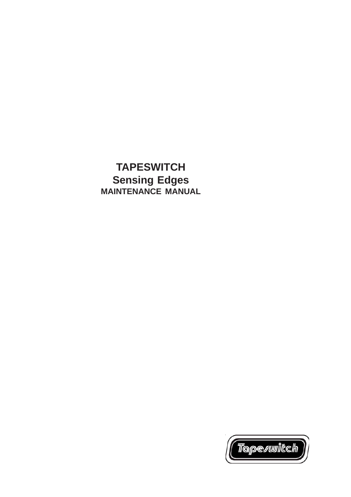# **TAPESWITCH Sensing Edges MAINTENANCE MANUAL**

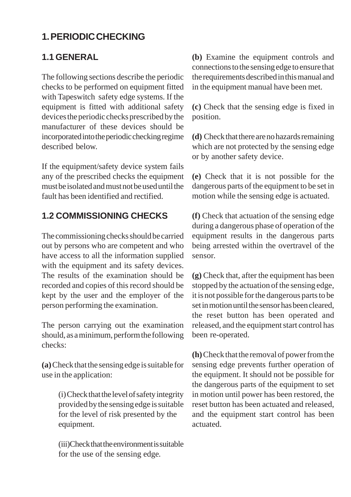## **1. PERIODIC CHECKING**

## **1.1 GENERAL**

The following sections describe the periodic checks to be performed on equipment fitted with Tapeswitch safety edge systems. If the equipment is fitted with additional safety devices the periodic checks prescribed by the manufacturer of these devices should be incorporated into the periodic checking regime described below.

If the equipment/safety device system fails any of the prescribed checks the equipment must be isolated and must not be used until the fault has been identified and rectified.

## **1.2 COMMISSIONING CHECKS**

The commissioning checks should be carried out by persons who are competent and who have access to all the information supplied with the equipment and its safety devices. The results of the examination should be recorded and copies of this record should be kept by the user and the employer of the person performing the examination.

The person carrying out the examination should, as a minimum, perform the following checks:

**(a)** Check that the sensing edge is suitable for use in the application:

> (i) Check that the level of safety integrity provided by the sensing edge is suitable for the level of risk presented by the equipment.

> (iii)Check that the environment is suitable for the use of the sensing edge*.*

**(b)** Examine the equipment controls and connections to the sensing edge to ensure that the requirements described in this manual and in the equipment manual have been met.

**(c)** Check that the sensing edge is fixed in position.

**(d)** Check that there are no hazards remaining which are not protected by the sensing edge or by another safety device.

**(e)** Check that it is not possible for the dangerous parts of the equipment to be set in motion while the sensing edge is actuated.

**(f)** Check that actuation of the sensing edge during a dangerous phase of operation of the equipment results in the dangerous parts being arrested within the overtravel of the sensor.

**(g)** Check that, after the equipment has been stopped by the actuation of the sensing edge, it is not possible for the dangerous parts to be set in motion until the sensor has been cleared, the reset button has been operated and released, and the equipment start control has been re-operated.

**(h)** Check that the removal of power from the sensing edge prevents further operation of the equipment. It should not be possible for the dangerous parts of the equipment to set in motion until power has been restored, the reset button has been actuated and released, and the equipment start control has been actuated.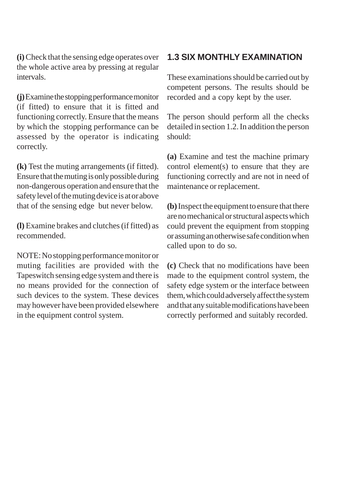**(i)** Check that the sensing edge operates over the whole active area by pressing at regular intervals.

**(j)** Examine the stopping performance monitor (if fitted) to ensure that it is fitted and functioning correctly. Ensure that the means by which the stopping performance can be assessed by the operator is indicating correctly.

**(k)** Test the muting arrangements (if fitted). Ensure that the muting is only possible during non-dangerous operation and ensure that the safety level of the muting device is at or above that of the sensing edge but never below.

**(l)** Examine brakes and clutches (if fitted) as recommended.

NOTE:No stopping performance monitor or muting facilities are provided with the Tapeswitch sensing edge system and there is no means provided for the connection of such devices to the system. These devices may however have been provided elsewhere in the equipment control system.

#### **1.3 SIX MONTHLY EXAMINATION**

These examinations should be carried out by competent persons. The results should be recorded and a copy kept by the user.

The person should perform all the checks detailed in section 1.2. In addition the person should:

**(a)** Examine and test the machine primary control element(s) to ensure that they are functioning correctly and are not in need of maintenance or replacement.

**(b)** Inspect the equipment to ensure that there are no mechanical or structural aspects which could prevent the equipment from stopping or assuming an otherwise safe condition when called upon to do so.

**(c)** Check that no modifications have been made to the equipment control system, the safety edge system or the interface between them, which could adversely affect the system and that any suitable modifications have been correctly performed and suitably recorded.